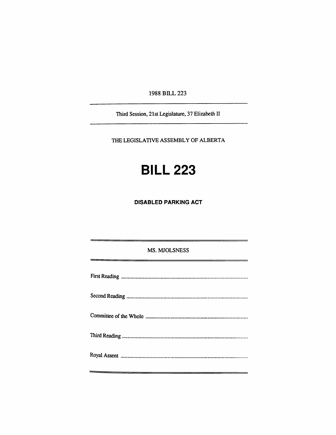1988 BILL 223

Third Session, 21st Legislature, 37 Elizabeth II

THE LEGISLATIVE ASSEMBLY OF ALBERTA

# **BILL 223**

**DISABLED PARKING ACT** 

MS. MJOLSNESS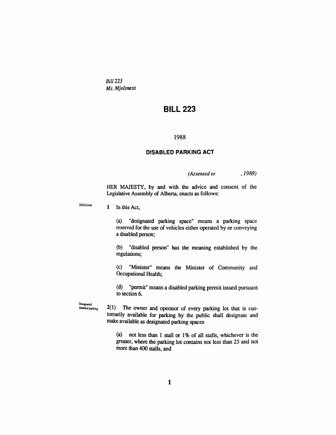*Bill 223 Ms. Mjolsness* 

## **BILL 223**

#### 1988

#### **DISABLED PARKING ACT**

*(Assented to ,1988)* 

HER MAJESTY, by and with the advice and consent of the Legislative Assembly of Alberta, enacts as follows:

**DeGnitions**  1 In this Act,

> (a) "designated parking space" means a parking space reserved for the use of vehicles either operated by or conveying a disabled person;

> (b) "disabled person" has the meaning established by the regulations;

> (c) "Minister" means the Minister of Community and Occupational Healdi;

> (d) "permit" means a disabled parking permit issued pursuant to section 6.

**Designated**<br>disabled parking **2(1)** The owner and operator of every parking lot that is customarily available for parking by the public shall designate and make available as designated parking spaces

> (a) not less dian 1 stall or 1% of all stalls, whichever is the greater, where die parking lot contains not less than 25 and not more than 400 stalls, and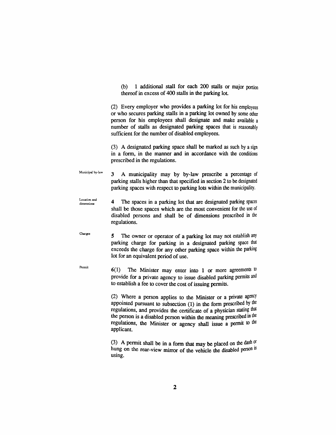(b) 1 additional stall for each 200 stalls or major portion thereof in excess of 400 stalls in the parking lot.

(2) Every employer who provides a parking lot for his employees or who secures parking staUs in a parking lot owned by some odier person for his employees shall designate and make available a number of stalls as designated parking spaces diat is reasonably sufficient for the number of disabled employees.

(3) A designated parking space shall be marked as such by a sign in a form, in the manner and in accordance with the conditions prescribed in the regulations.

Municipal by-law 3 A mimicipality may by by-law prescribe a percentage of parking stalls higher than that specified in section 2 to be designated parking spaces with respect to parking lots within the municipality.

- Location and dimensions 4 The spaces in a parking lot that are designated parking spaces shall be those spaces which are the most convenient for the use of disabled persons and shall be of dimensions prescribed in die regulations.
- Charges 5 The owner or operator of a parking lot may not establish any parking charge for parking in a designated parking space that exceeds the charge for any other parking space within the parking lot for an equivalent period of use.

Permit

 $6(1)$  The Minister may enter into 1 or more agreements to provide for a private agency to issue disabled parking permits and to establish a fee to cover the cost of issuing permits.

> (2) Where a person applies to the Minister or a private agency appointed pursuant to subsection  $(1)$  in the form prescribed by the regulations, and provides the certificate of a physician stating that the person is a disabled person within the meaning prescribed in the regulations, the Minister or agency shall issue a permit to the applicant.

> (3) A permit shall be in a form that may be placed on the dash of hung on the rear-view mirror of the vehicle the disabled person is using.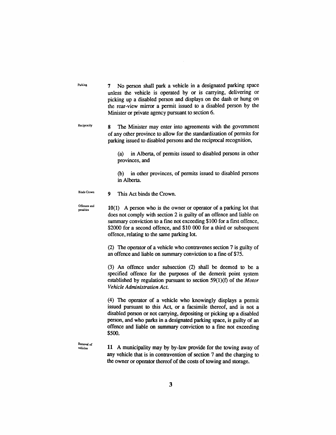Parking **7** No person shall park a vehicle in a designated parking space unless the vehicle is operated by or is carrying, delivering or picking up a disabled person and displays on the dash or hung on the rear-view mirror a permit issued to a disabled person by the Minister or private agency pursuant to section 6. Reciprocity 8 The Minister may enter into agreements with the government of any other province to aUow for the standardization of permits for parking issued to disabled persons and the reciprocal recognition, (a) in Alberta, of permits issued to disabled persons in other provinces, and (b) in other provinces, of permits issued to disabled persons in Alberta. **Binds Crown** 9 This Act binds the Crown. **Offences and Performers and** 10(1) A person who is the owner or operator of a parking lot that does not comply with section 2 is guilty of an offence and liable on summary conviction to a fine not exceeding \$100 for a first offence, \$2000 for a second offence, and \$10 000 for a third or subsequent offence, relating to the same parking lot.

> (2) The operator of a vehicle who contravenes section 7 is guilty of an offence and liable on summary conviction to a fine of \$75.

> (3) An offence imder subsection (2) shall be deemed to be a specified offence for the purposes of the demerit point system established by regulation pursuant to section 59(1)(f) of the *Motor Vehicle Administration Act.*

> (4) The operator of a vehicle who knowingly displays a permit issued pursuant to this Act, or a facsimile thereof, and is not a disabled person or not carrying, depositing or picking up a disabled person, and who parks in a designated parking space, is guilty of an offence and liable on summary conviction to a fine not exceeding \$500.

**Removal of** 

**vehicles** 11 A municipality may by by-law provide for die towing away of any vehicle that is in contravention of section 7 and the charging to the owner or operator thereof of the costs of towing and storage.

3